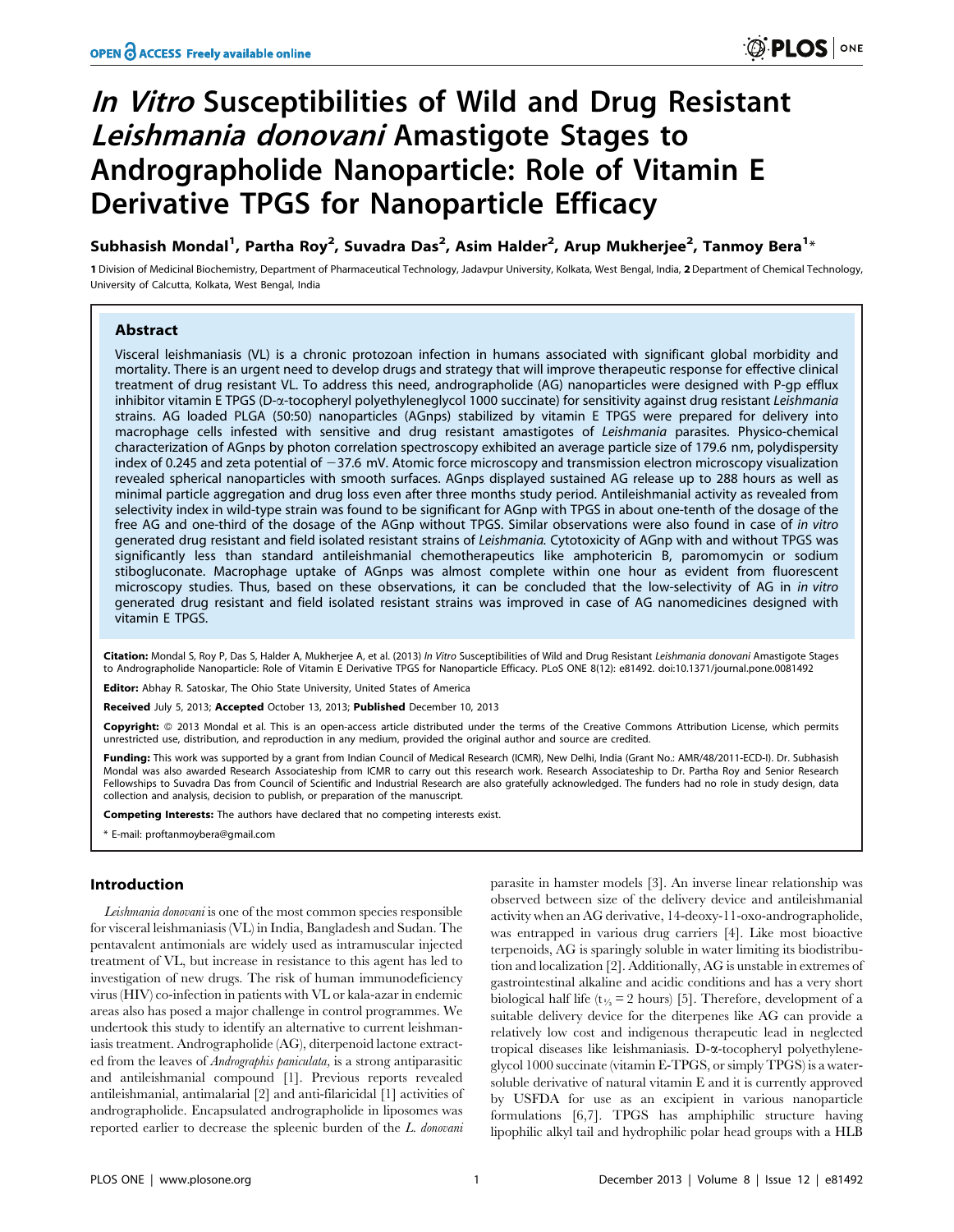# In Vitro Susceptibilities of Wild and Drug Resistant Leishmania donovani Amastigote Stages to Andrographolide Nanoparticle: Role of Vitamin E Derivative TPGS for Nanoparticle Efficacy

Subhasish Mondal<sup>1</sup>, Partha Roy<sup>2</sup>, Suvadra Das<sup>2</sup>, Asim Halder<sup>2</sup>, Arup Mukherjee<sup>2</sup>, Tanmoy Bera<sup>1</sup>\*

1 Division of Medicinal Biochemistry, Department of Pharmaceutical Technology, Jadavpur University, Kolkata, West Bengal, India, 2Department of Chemical Technology, University of Calcutta, Kolkata, West Bengal, India

# **Abstract**

Visceral leishmaniasis (VL) is a chronic protozoan infection in humans associated with significant global morbidity and mortality. There is an urgent need to develop drugs and strategy that will improve therapeutic response for effective clinical treatment of drug resistant VL. To address this need, andrographolide (AG) nanoparticles were designed with P-gp efflux inhibitor vitamin E TPGS (D-a-tocopheryl polyethyleneglycol 1000 succinate) for sensitivity against drug resistant Leishmania strains. AG loaded PLGA (50:50) nanoparticles (AGnps) stabilized by vitamin E TPGS were prepared for delivery into macrophage cells infested with sensitive and drug resistant amastigotes of Leishmania parasites. Physico-chemical characterization of AGnps by photon correlation spectroscopy exhibited an average particle size of 179.6 nm, polydispersity index of 0.245 and zeta potential of  $-37.6$  mV. Atomic force microscopy and transmission electron microscopy visualization revealed spherical nanoparticles with smooth surfaces. AGnps displayed sustained AG release up to 288 hours as well as minimal particle aggregation and drug loss even after three months study period. Antileishmanial activity as revealed from selectivity index in wild-type strain was found to be significant for AGnp with TPGS in about one-tenth of the dosage of the free AG and one-third of the dosage of the AGnp without TPGS. Similar observations were also found in case of in vitro generated drug resistant and field isolated resistant strains of Leishmania. Cytotoxicity of AGnp with and without TPGS was significantly less than standard antileishmanial chemotherapeutics like amphotericin B, paromomycin or sodium stibogluconate. Macrophage uptake of AGnps was almost complete within one hour as evident from fluorescent microscopy studies. Thus, based on these observations, it can be concluded that the low-selectivity of AG in in vitro generated drug resistant and field isolated resistant strains was improved in case of AG nanomedicines designed with vitamin E TPGS.

Citation: Mondal S, Roy P, Das S, Halder A, Mukherjee A, et al. (2013) In Vitro Susceptibilities of Wild and Drug Resistant Leishmania donovani Amastigote Stages to Andrographolide Nanoparticle: Role of Vitamin E Derivative TPGS for Nanoparticle Efficacy. PLoS ONE 8(12): e81492. doi:10.1371/journal.pone.0081492

Editor: Abhay R. Satoskar, The Ohio State University, United States of America

Received July 5, 2013; Accepted October 13, 2013; Published December 10, 2013

**Copyright:** © 2013 Mondal et al. This is an open-access article distributed under the terms of the Creative Commons Attribution License, which permits unrestricted use, distribution, and reproduction in any medium, provided the original author and source are credited.

Funding: This work was supported by a grant from Indian Council of Medical Research (ICMR), New Delhi, India (Grant No.: AMR/48/2011-ECD-I). Dr. Subhasish Mondal was also awarded Research Associateship from ICMR to carry out this research work. Research Associateship to Dr. Partha Roy and Senior Research Fellowships to Suvadra Das from Council of Scientific and Industrial Research are also gratefully acknowledged. The funders had no role in study design, data collection and analysis, decision to publish, or preparation of the manuscript.

Competing Interests: The authors have declared that no competing interests exist.

\* E-mail: proftanmoybera@gmail.com

# Introduction

Leishmania donovani is one of the most common species responsible for visceral leishmaniasis (VL) in India, Bangladesh and Sudan. The pentavalent antimonials are widely used as intramuscular injected treatment of VL, but increase in resistance to this agent has led to investigation of new drugs. The risk of human immunodeficiency virus (HIV) co-infection in patients with VL or kala-azar in endemic areas also has posed a major challenge in control programmes. We undertook this study to identify an alternative to current leishmaniasis treatment. Andrographolide (AG), diterpenoid lactone extracted from the leaves of Andrographis paniculata, is a strong antiparasitic and antileishmanial compound [1]. Previous reports revealed antileishmanial, antimalarial [2] and anti-filaricidal [1] activities of andrographolide. Encapsulated andrographolide in liposomes was reported earlier to decrease the spleenic burden of the L. donovani

parasite in hamster models [3]. An inverse linear relationship was observed between size of the delivery device and antileishmanial activity when an AG derivative, 14-deoxy-11-oxo-andrographolide, was entrapped in various drug carriers [4]. Like most bioactive terpenoids, AG is sparingly soluble in water limiting its biodistribution and localization [2]. Additionally, AG is unstable in extremes of gastrointestinal alkaline and acidic conditions and has a very short biological half life ( $t_{\frac{1}{2}}$  = 2 hours) [5]. Therefore, development of a suitable delivery device for the diterpenes like AG can provide a relatively low cost and indigenous therapeutic lead in neglected tropical diseases like leishmaniasis. D-a-tocopheryl polyethyleneglycol 1000 succinate (vitamin E-TPGS, or simply TPGS) is a watersoluble derivative of natural vitamin E and it is currently approved by USFDA for use as an excipient in various nanoparticle formulations [6,7]. TPGS has amphiphilic structure having lipophilic alkyl tail and hydrophilic polar head groups with a HLB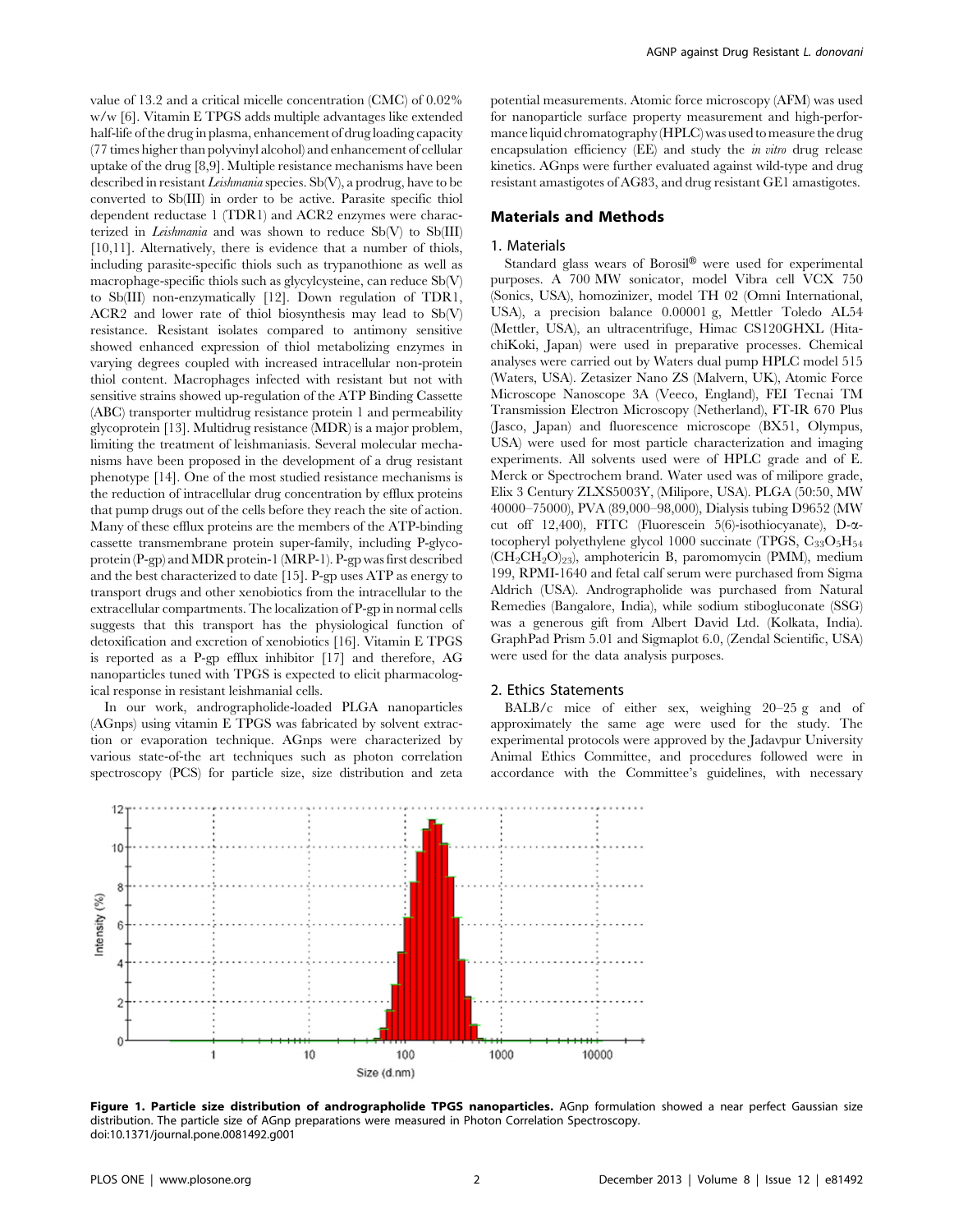value of 13.2 and a critical micelle concentration (CMC) of 0.02% w/w [6]. Vitamin E TPGS adds multiple advantages like extended half-life of the drug in plasma, enhancement of drug loading capacity (77 times higher than polyvinyl alcohol) and enhancement of cellular uptake of the drug [8,9]. Multiple resistance mechanisms have been described in resistant Leishmania species. Sb(V), a prodrug, have to be converted to Sb(III) in order to be active. Parasite specific thiol dependent reductase 1 (TDR1) and ACR2 enzymes were characterized in *Leishmania* and was shown to reduce  $\text{Sb}(V)$  to  $\text{Sb}(III)$ [10,11]. Alternatively, there is evidence that a number of thiols, including parasite-specific thiols such as trypanothione as well as macrophage-specific thiols such as glycylcysteine, can reduce Sb(V) to Sb(III) non-enzymatically [12]. Down regulation of TDR1, ACR2 and lower rate of thiol biosynthesis may lead to Sb(V) resistance. Resistant isolates compared to antimony sensitive showed enhanced expression of thiol metabolizing enzymes in varying degrees coupled with increased intracellular non-protein thiol content. Macrophages infected with resistant but not with sensitive strains showed up-regulation of the ATP Binding Cassette (ABC) transporter multidrug resistance protein 1 and permeability glycoprotein [13]. Multidrug resistance (MDR) is a major problem, limiting the treatment of leishmaniasis. Several molecular mechanisms have been proposed in the development of a drug resistant phenotype [14]. One of the most studied resistance mechanisms is the reduction of intracellular drug concentration by efflux proteins that pump drugs out of the cells before they reach the site of action. Many of these efflux proteins are the members of the ATP-binding cassette transmembrane protein super-family, including P-glycoprotein (P-gp) andMDR protein-1 (MRP-1). P-gp was first described and the best characterized to date [15]. P-gp uses ATP as energy to transport drugs and other xenobiotics from the intracellular to the extracellular compartments. The localization of P-gp in normal cells suggests that this transport has the physiological function of detoxification and excretion of xenobiotics [16]. Vitamin E TPGS is reported as a P-gp efflux inhibitor [17] and therefore, AG nanoparticles tuned with TPGS is expected to elicit pharmacological response in resistant leishmanial cells.

In our work, andrographolide-loaded PLGA nanoparticles (AGnps) using vitamin E TPGS was fabricated by solvent extraction or evaporation technique. AGnps were characterized by various state-of-the art techniques such as photon correlation spectroscopy (PCS) for particle size, size distribution and zeta potential measurements. Atomic force microscopy (AFM) was used for nanoparticle surface property measurement and high-performance liquid chromatography (HPLC) was used to measure the drug encapsulation efficiency (EE) and study the *in vitro* drug release kinetics. AGnps were further evaluated against wild-type and drug resistant amastigotes of AG83, and drug resistant GE1 amastigotes.

#### Materials and Methods

#### 1. Materials

Standard glass wears of Borosil® were used for experimental purposes. A 700 MW sonicator, model Vibra cell VCX 750 (Sonics, USA), homozinizer, model TH 02 (Omni International, USA), a precision balance 0.00001 g, Mettler Toledo AL54 (Mettler, USA), an ultracentrifuge, Himac CS120GHXL (HitachiKoki, Japan) were used in preparative processes. Chemical analyses were carried out by Waters dual pump HPLC model 515 (Waters, USA). Zetasizer Nano ZS (Malvern, UK), Atomic Force Microscope Nanoscope 3A (Veeco, England), FEI Tecnai TM Transmission Electron Microscopy (Netherland), FT-IR 670 Plus (Jasco, Japan) and fluorescence microscope (BX51, Olympus, USA) were used for most particle characterization and imaging experiments. All solvents used were of HPLC grade and of E. Merck or Spectrochem brand. Water used was of milipore grade, Elix 3 Century ZLXS5003Y, (Milipore, USA). PLGA (50:50, MW 40000–75000), PVA (89,000–98,000), Dialysis tubing D9652 (MW cut off 12,400), FITC (Fluorescein 5(6)-isothiocyanate), D-atocopheryl polyethylene glycol 1000 succinate (TPGS,  $C_{33}O_{5}H_{54}$  $(CH<sub>2</sub>CH<sub>2</sub>O)<sub>23</sub>$ , amphotericin B, paromomycin (PMM), medium 199, RPMI-1640 and fetal calf serum were purchased from Sigma Aldrich (USA). Andrographolide was purchased from Natural Remedies (Bangalore, India), while sodium stibogluconate (SSG) was a generous gift from Albert David Ltd. (Kolkata, India). GraphPad Prism 5.01 and Sigmaplot 6.0, (Zendal Scientific, USA) were used for the data analysis purposes.

#### 2. Ethics Statements

BALB/c mice of either sex, weighing 20–25 g and of approximately the same age were used for the study. The experimental protocols were approved by the Jadavpur University Animal Ethics Committee, and procedures followed were in accordance with the Committee's guidelines, with necessary



Figure 1. Particle size distribution of andrographolide TPGS nanoparticles. AGnp formulation showed a near perfect Gaussian size distribution. The particle size of AGnp preparations were measured in Photon Correlation Spectroscopy. doi:10.1371/journal.pone.0081492.g001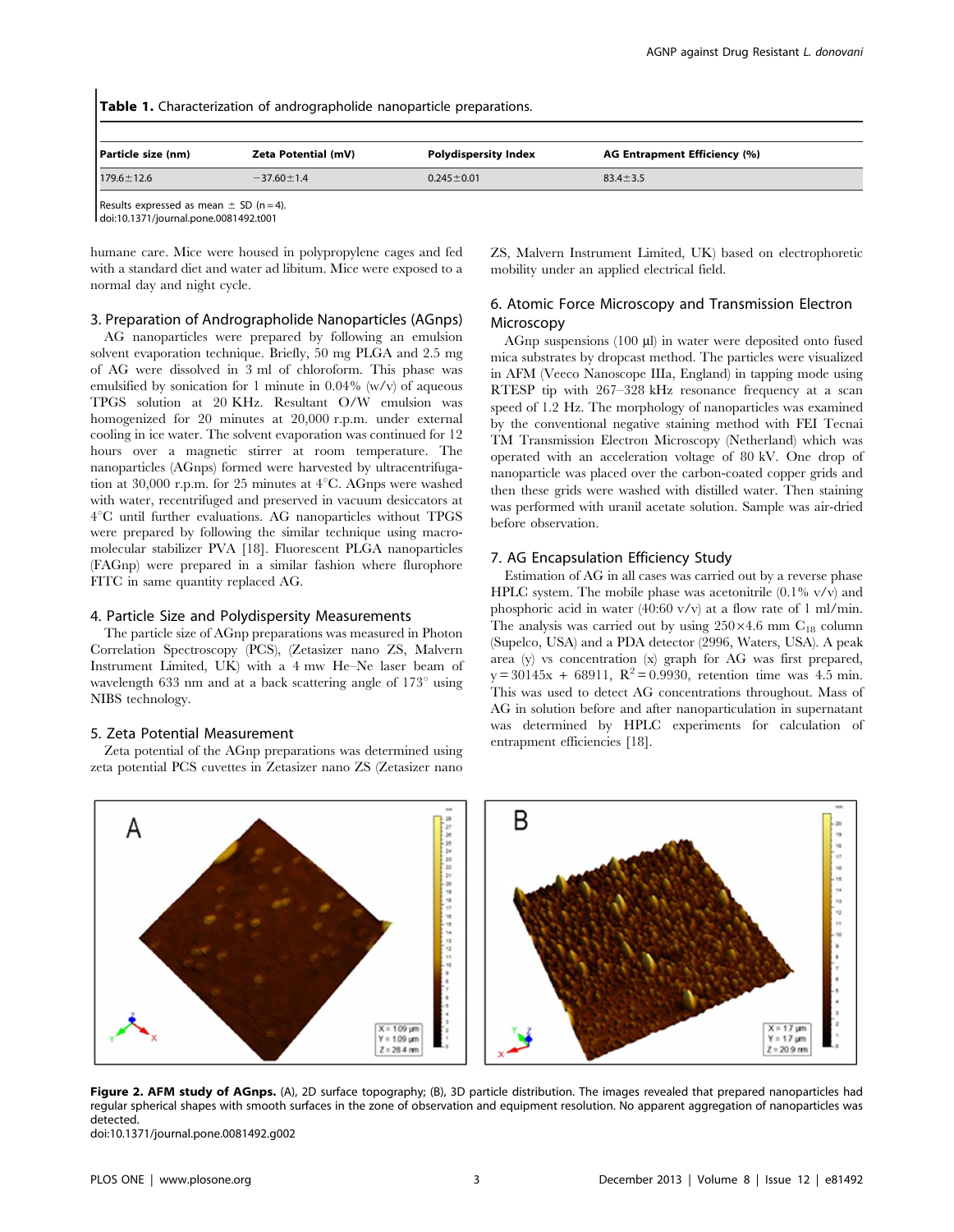| <b>Table 1.</b> Characterization of andrographolide nanoparticle preparations. |                     |                             |                              |  |  |  |  |  |
|--------------------------------------------------------------------------------|---------------------|-----------------------------|------------------------------|--|--|--|--|--|
| Particle size (nm)                                                             | Zeta Potential (mV) | <b>Polydispersity Index</b> | AG Entrapment Efficiency (%) |  |  |  |  |  |
| $179.6 \pm 12.6$                                                               | $-37.60 \pm 1.4$    | $0.245 \pm 0.01$            | $83.4 \pm 3.5$               |  |  |  |  |  |
| Results expressed as mean $\pm$ SD (n = 4).                                    |                     |                             |                              |  |  |  |  |  |

doi:10.1371/journal.pone.0081492.t001

humane care. Mice were housed in polypropylene cages and fed with a standard diet and water ad libitum. Mice were exposed to a normal day and night cycle.

#### 3. Preparation of Andrographolide Nanoparticles (AGnps)

AG nanoparticles were prepared by following an emulsion solvent evaporation technique. Briefly, 50 mg PLGA and 2.5 mg of AG were dissolved in 3 ml of chloroform. This phase was emulsified by sonication for 1 minute in  $0.04\%$  (w/v) of aqueous TPGS solution at 20 KHz. Resultant O/W emulsion was homogenized for 20 minutes at 20,000 r.p.m. under external cooling in ice water. The solvent evaporation was continued for 12 hours over a magnetic stirrer at room temperature. The nanoparticles (AGnps) formed were harvested by ultracentrifugation at 30,000 r.p.m. for 25 minutes at  $4^{\circ}$ C. AGnps were washed with water, recentrifuged and preserved in vacuum desiccators at  $4^{\circ}$ C until further evaluations. AG nanoparticles without TPGS were prepared by following the similar technique using macromolecular stabilizer PVA [18]. Fluorescent PLGA nanoparticles (FAGnp) were prepared in a similar fashion where flurophore FITC in same quantity replaced AG.

## 4. Particle Size and Polydispersity Measurements

The particle size of AGnp preparations was measured in Photon Correlation Spectroscopy (PCS), (Zetasizer nano ZS, Malvern Instrument Limited, UK) with a 4 mw He–Ne laser beam of wavelength 633 nm and at a back scattering angle of  $173^\circ$  using NIBS technology.

#### 5. Zeta Potential Measurement

Zeta potential of the AGnp preparations was determined using zeta potential PCS cuvettes in Zetasizer nano ZS (Zetasizer nano ZS, Malvern Instrument Limited, UK) based on electrophoretic mobility under an applied electrical field.

# 6. Atomic Force Microscopy and Transmission Electron Microscopy

AGnp suspensions  $(100 \mu l)$  in water were deposited onto fused mica substrates by dropcast method. The particles were visualized in AFM (Veeco Nanoscope IIIa, England) in tapping mode using RTESP tip with 267–328 kHz resonance frequency at a scan speed of 1.2 Hz. The morphology of nanoparticles was examined by the conventional negative staining method with FEI Tecnai TM Transmission Electron Microscopy (Netherland) which was operated with an acceleration voltage of 80 kV. One drop of nanoparticle was placed over the carbon-coated copper grids and then these grids were washed with distilled water. Then staining was performed with uranil acetate solution. Sample was air-dried before observation.

# 7. AG Encapsulation Efficiency Study

Estimation of AG in all cases was carried out by a reverse phase HPLC system. The mobile phase was acetonitrile  $(0.1\% \text{ v/v})$  and phosphoric acid in water (40:60 v/v) at a flow rate of 1 ml/min. The analysis was carried out by using  $250\times4.6$  mm C<sub>18</sub> column (Supelco, USA) and a PDA detector (2996, Waters, USA). A peak area (y) vs concentration (x) graph for AG was first prepared,  $y = 30145x + 68911$ ,  $R^2 = 0.9930$ , retention time was 4.5 min. This was used to detect AG concentrations throughout. Mass of AG in solution before and after nanoparticulation in supernatant was determined by HPLC experiments for calculation of entrapment efficiencies [18].



Figure 2. AFM study of AGnps. (A), 2D surface topography; (B), 3D particle distribution. The images revealed that prepared nanoparticles had regular spherical shapes with smooth surfaces in the zone of observation and equipment resolution. No apparent aggregation of nanoparticles was detected.

doi:10.1371/journal.pone.0081492.g002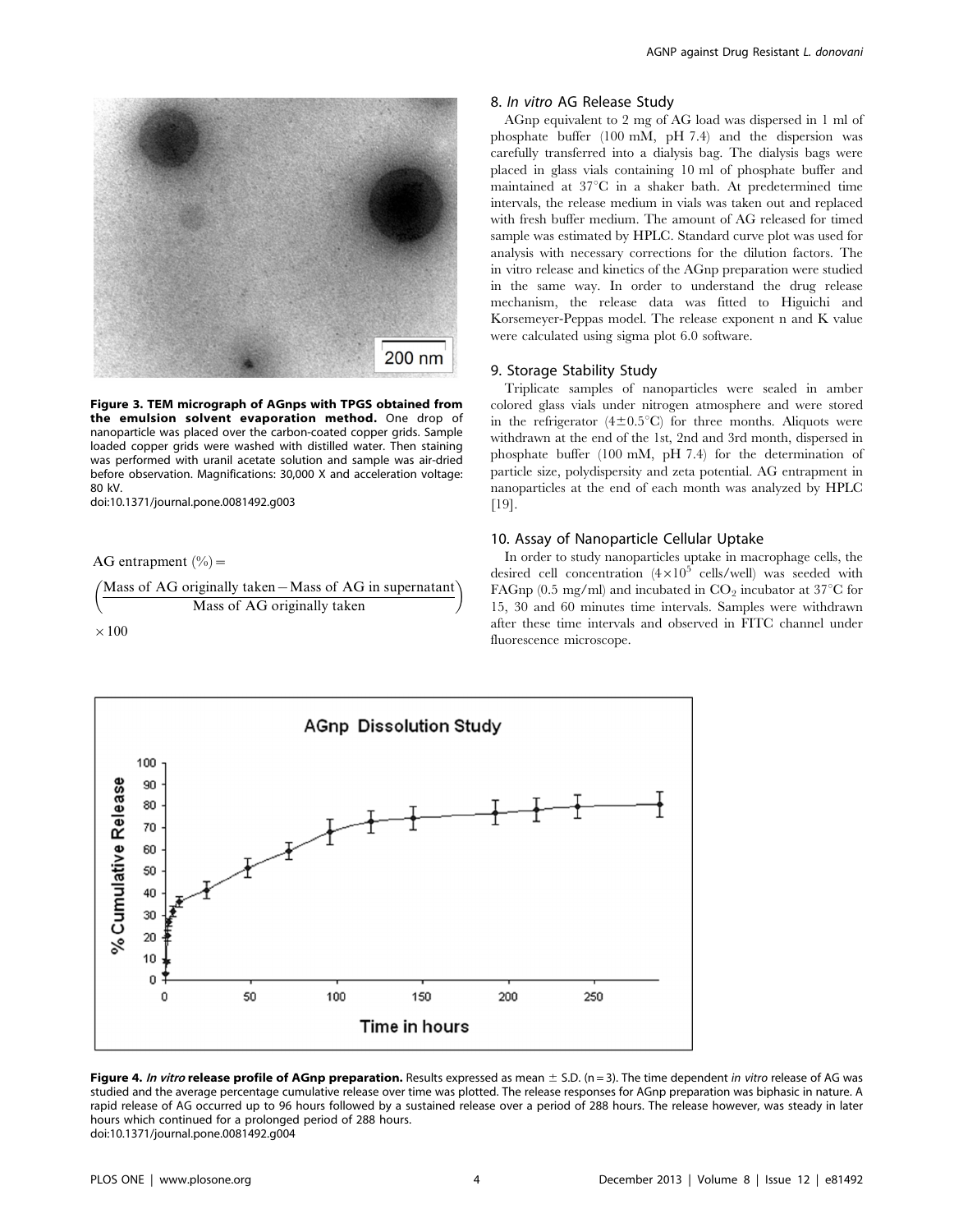

Figure 3. TEM micrograph of AGnps with TPGS obtained from the emulsion solvent evaporation method. One drop of nanoparticle was placed over the carbon-coated copper grids. Sample loaded copper grids were washed with distilled water. Then staining was performed with uranil acetate solution and sample was air-dried before observation. Magnifications: 30,000 X and acceleration voltage: 80 kV.

doi:10.1371/journal.pone.0081492.g003

AG entrapment  $(\% )$  =

 $\left(\frac{\text{Mass of AG originally taken}-\text{Mass of AG in supernatant}}{\text{Mass of AG originally taken}}\right)$ 

 $\times$  100

## 8. In vitro AG Release Study

AGnp equivalent to 2 mg of AG load was dispersed in 1 ml of phosphate buffer (100 mM, pH 7.4) and the dispersion was carefully transferred into a dialysis bag. The dialysis bags were placed in glass vials containing 10 ml of phosphate buffer and maintained at  $37^{\circ}$ C in a shaker bath. At predetermined time intervals, the release medium in vials was taken out and replaced with fresh buffer medium. The amount of AG released for timed sample was estimated by HPLC. Standard curve plot was used for analysis with necessary corrections for the dilution factors. The in vitro release and kinetics of the AGnp preparation were studied in the same way. In order to understand the drug release mechanism, the release data was fitted to Higuichi and Korsemeyer-Peppas model. The release exponent n and K value were calculated using sigma plot 6.0 software.

# 9. Storage Stability Study

Triplicate samples of nanoparticles were sealed in amber colored glass vials under nitrogen atmosphere and were stored in the refrigerator  $(4\pm0.5\textdegree C)$  for three months. Aliquots were withdrawn at the end of the 1st, 2nd and 3rd month, dispersed in phosphate buffer (100 mM, pH 7.4) for the determination of particle size, polydispersity and zeta potential. AG entrapment in nanoparticles at the end of each month was analyzed by HPLC [19].

# 10. Assay of Nanoparticle Cellular Uptake

In order to study nanoparticles uptake in macrophage cells, the desired cell concentration  $(4 \times 10^5 \text{ cells/well})$  was seeded with FAGnp (0.5 mg/ml) and incubated in  $CO<sub>2</sub>$  incubator at 37 $\degree$ C for 15, 30 and 60 minutes time intervals. Samples were withdrawn after these time intervals and observed in FITC channel under fluorescence microscope.



Figure 4. In vitro release profile of AGnp preparation. Results expressed as mean  $\pm$  S.D. (n = 3). The time dependent in vitro release of AG was studied and the average percentage cumulative release over time was plotted. The release responses for AGnp preparation was biphasic in nature. A rapid release of AG occurred up to 96 hours followed by a sustained release over a period of 288 hours. The release however, was steady in later hours which continued for a prolonged period of 288 hours. doi:10.1371/journal.pone.0081492.g004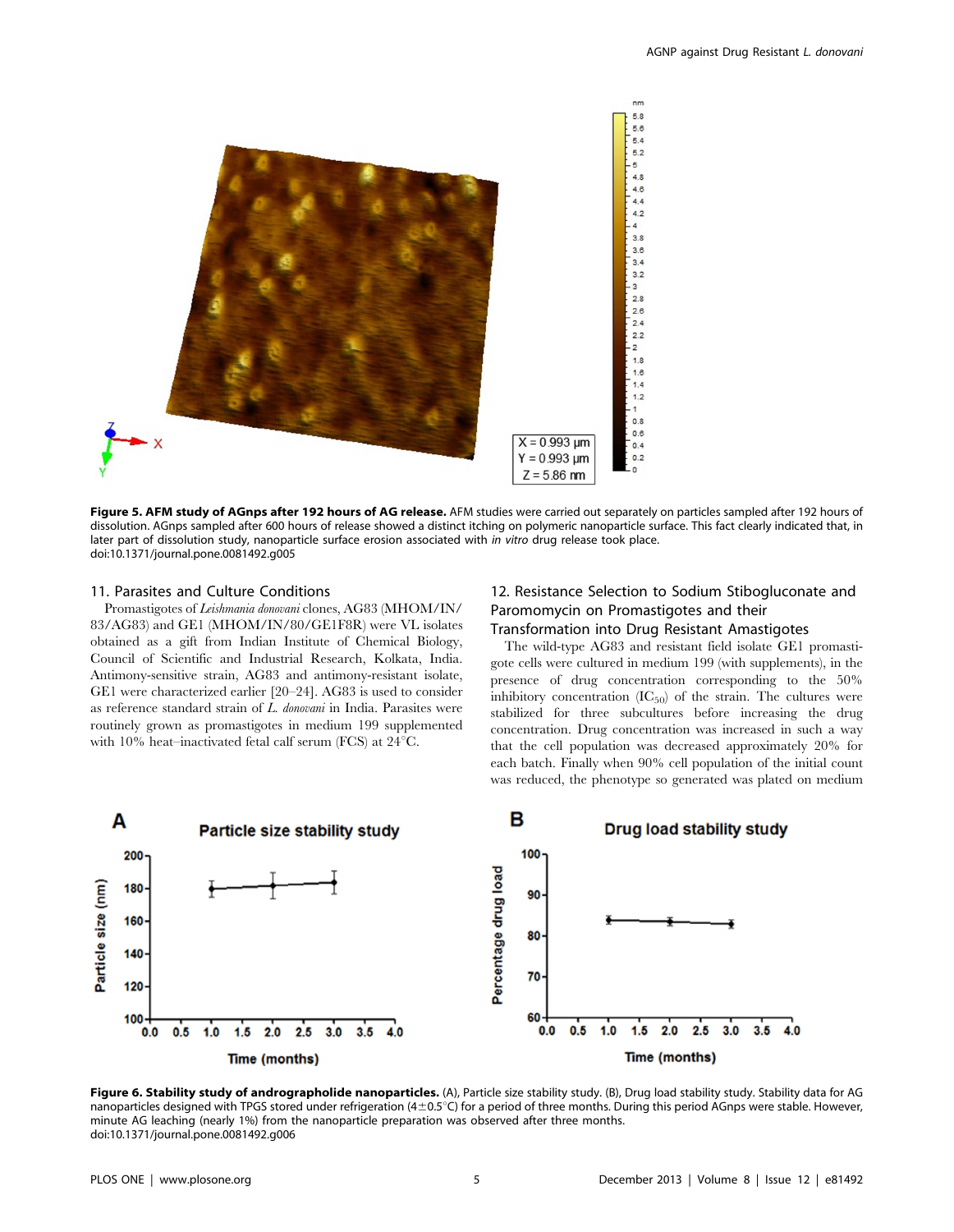

Figure 5. AFM study of AGnps after 192 hours of AG release. AFM studies were carried out separately on particles sampled after 192 hours of dissolution. AGnps sampled after 600 hours of release showed a distinct itching on polymeric nanoparticle surface. This fact clearly indicated that, in later part of dissolution study, nanoparticle surface erosion associated with in vitro drug release took place. doi:10.1371/journal.pone.0081492.g005

#### 11. Parasites and Culture Conditions

Promastigotes of Leishmania donovani clones, AG83 (MHOM/IN/ 83/AG83) and GE1 (MHOM/IN/80/GE1F8R) were VL isolates obtained as a gift from Indian Institute of Chemical Biology, Council of Scientific and Industrial Research, Kolkata, India. Antimony-sensitive strain, AG83 and antimony-resistant isolate, GE1 were characterized earlier [20–24]. AG83 is used to consider as reference standard strain of L. donovani in India. Parasites were routinely grown as promastigotes in medium 199 supplemented with 10% heat–inactivated fetal calf serum (FCS) at  $24^{\circ}$ C.

# 12. Resistance Selection to Sodium Stibogluconate and Paromomycin on Promastigotes and their Transformation into Drug Resistant Amastigotes

The wild-type AG83 and resistant field isolate GE1 promastigote cells were cultured in medium 199 (with supplements), in the presence of drug concentration corresponding to the 50% inhibitory concentration  $(IC_{50})$  of the strain. The cultures were stabilized for three subcultures before increasing the drug concentration. Drug concentration was increased in such a way that the cell population was decreased approximately 20% for each batch. Finally when 90% cell population of the initial count was reduced, the phenotype so generated was plated on medium



Figure 6. Stability study of andrographolide nanoparticles. (A), Particle size stability study. (B), Drug load stability study. Stability data for AG nanoparticles designed with TPGS stored under refrigeration ( $4\pm0.5^{\circ}$ C) for a period of three months. During this period AGnps were stable. However, minute AG leaching (nearly 1%) from the nanoparticle preparation was observed after three months. doi:10.1371/journal.pone.0081492.g006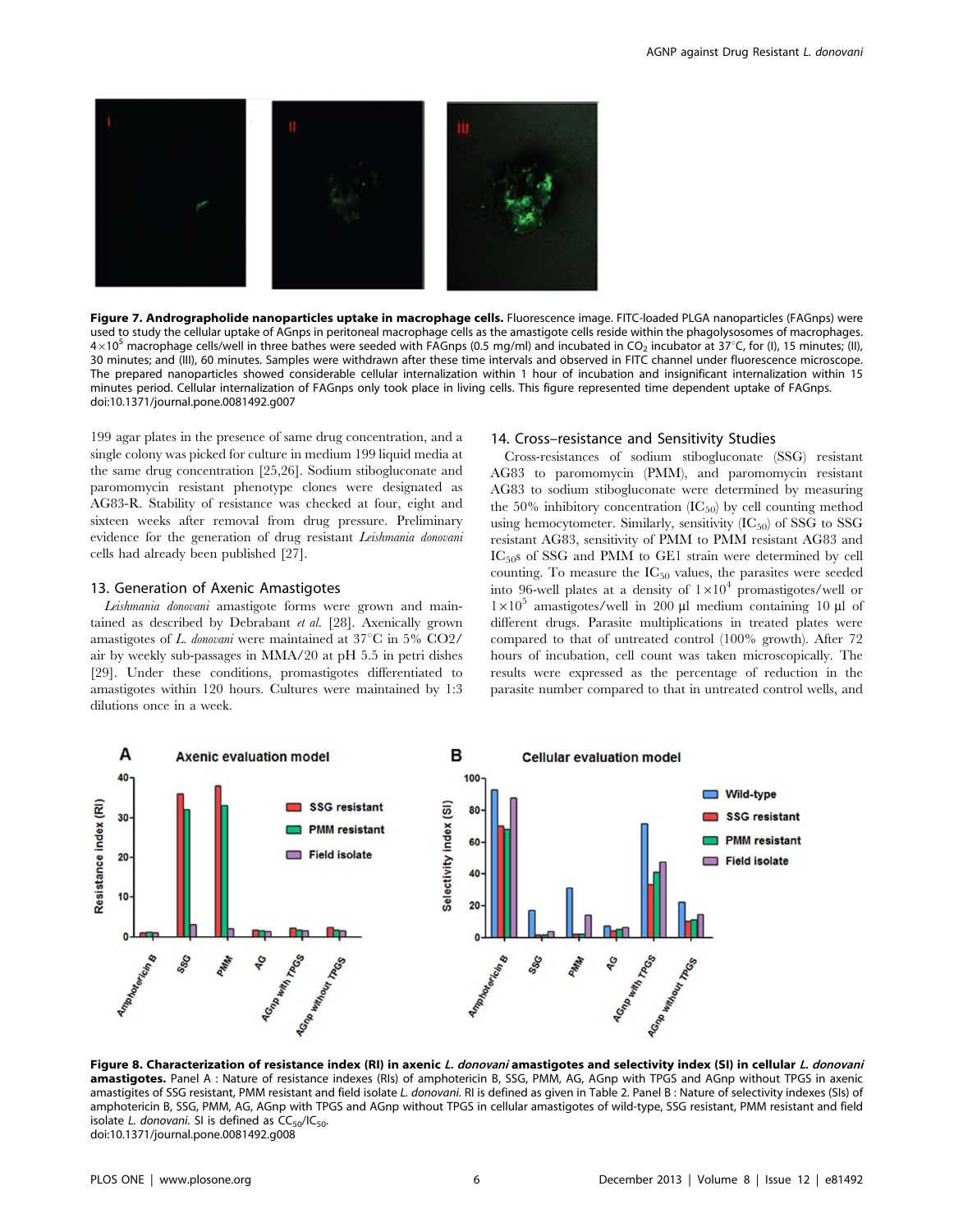

Figure 7. Andrographolide nanoparticles uptake in macrophage cells. Fluorescence image. FITC-loaded PLGA nanoparticles (FAGnps) were used to study the cellular uptake of AGnps in peritoneal macrophage cells as the amastigote cells reside within the phagolysosomes of macrophages.  $4\times10^5$  macrophage cells/well in three bathes were seeded with FAGnps (0.5 mg/ml) and incubated in CO<sub>2</sub> incubator at 37°C, for (I), 15 minutes; (II), 30 minutes; and (III), 60 minutes. Samples were withdrawn after these time intervals and observed in FITC channel under fluorescence microscope. The prepared nanoparticles showed considerable cellular internalization within 1 hour of incubation and insignificant internalization within 15 minutes period. Cellular internalization of FAGnps only took place in living cells. This figure represented time dependent uptake of FAGnps. doi:10.1371/journal.pone.0081492.g007

199 agar plates in the presence of same drug concentration, and a single colony was picked for culture in medium 199 liquid media at the same drug concentration [25,26]. Sodium stibogluconate and paromomycin resistant phenotype clones were designated as AG83-R. Stability of resistance was checked at four, eight and sixteen weeks after removal from drug pressure. Preliminary evidence for the generation of drug resistant Leishmania donovani cells had already been published [27].

#### 13. Generation of Axenic Amastigotes

Leishmania donovani amastigote forms were grown and maintained as described by Debrabant et al. [28]. Axenically grown amastigotes of L. donovani were maintained at  $37^{\circ}$ C in 5% CO2/ air by weekly sub-passages in MMA/20 at pH 5.5 in petri dishes [29]. Under these conditions, promastigotes differentiated to amastigotes within 120 hours. Cultures were maintained by 1:3 dilutions once in a week.

#### 14. Cross–resistance and Sensitivity Studies

Cross-resistances of sodium stibogluconate (SSG) resistant AG83 to paromomycin (PMM), and paromomycin resistant AG83 to sodium stibogluconate were determined by measuring the 50% inhibitory concentration  $(IC_{50})$  by cell counting method using hemocytometer. Similarly, sensitivity  $(IC_{50})$  of SSG to SSG resistant AG83, sensitivity of PMM to PMM resistant AG83 and IC<sub>50</sub>s of SSG and PMM to GE1 strain were determined by cell counting. To measure the  $IC_{50}$  values, the parasites were seeded into 96-well plates at a density of  $1\times10^4$  promastigotes/well or  $1\times10^5$  amastigotes/well in 200 µl medium containing 10 µl of different drugs. Parasite multiplications in treated plates were compared to that of untreated control (100% growth). After 72 hours of incubation, cell count was taken microscopically. The results were expressed as the percentage of reduction in the parasite number compared to that in untreated control wells, and



Figure 8. Characterization of resistance index (RI) in axenic L. donovani amastigotes and selectivity index (SI) in cellular L. donovani amastigotes. Panel A : Nature of resistance indexes (RIs) of amphotericin B, SSG, PMM, AG, AGnp with TPGS and AGnp without TPGS in axenic amastigites of SSG resistant, PMM resistant and field isolate L. donovani. RI is defined as given in Table 2. Panel B : Nature of selectivity indexes (SIs) of amphotericin B, SSG, PMM, AG, AGnp with TPGS and AGnp without TPGS in cellular amastigotes of wild-type, SSG resistant, PMM resistant and field isolate L. donovani. SI is defined as  $CC_{50}/IC_{50}$ . doi:10.1371/journal.pone.0081492.g008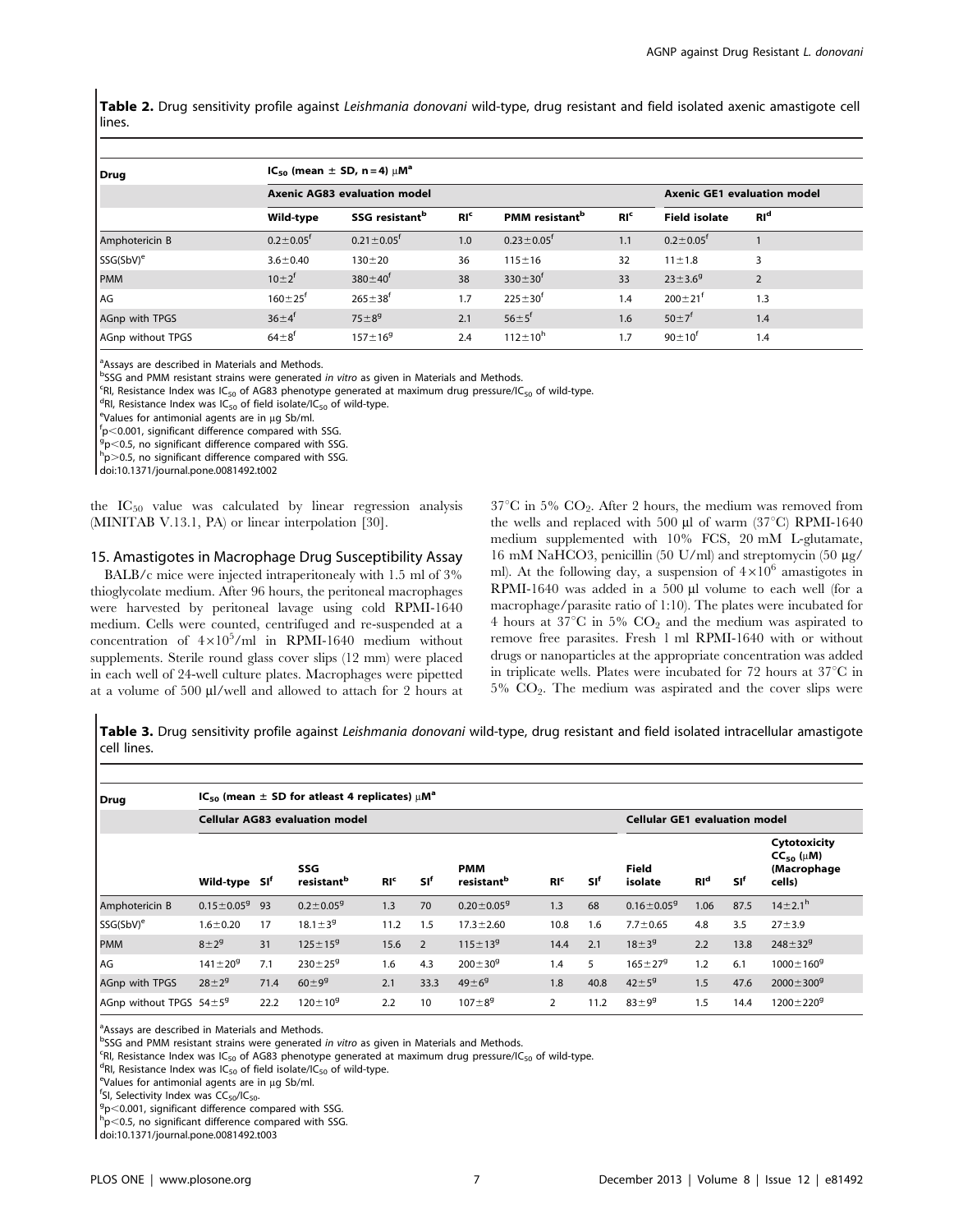Table 2. Drug sensitivity profile against Leishmania donovani wild-type, drug resistant and field isolated axenic amastigote cell lines.

| Drug                  | $IC_{50}$ (mean $\pm$ SD, n = 4) $\mu$ M <sup>a</sup> |                                    |                 |                                   |                 |                             |                |  |  |
|-----------------------|-------------------------------------------------------|------------------------------------|-----------------|-----------------------------------|-----------------|-----------------------------|----------------|--|--|
|                       | <b>Axenic AG83 evaluation model</b>                   | <b>Axenic GE1 evaluation model</b> |                 |                                   |                 |                             |                |  |  |
|                       | Wild-type                                             | SSG resistant <sup>b</sup>         | RI <sup>c</sup> | <b>PMM</b> resistant <sup>b</sup> | RI <sup>c</sup> | <b>Field isolate</b>        | $RI^d$         |  |  |
| Amphotericin B        | $0.2 \pm 0.05$ <sup>f</sup>                           | $0.21 \pm 0.05$ <sup>f</sup>       | 1.0             | $0.23 \pm 0.05$ <sup>f</sup>      | 1.1             | $0.2 \pm 0.05$ <sup>f</sup> |                |  |  |
| SSG(SbV) <sup>e</sup> | $3.6 \pm 0.40$                                        | $130 + 20$                         | 36              | $115 \pm 16$                      | 32              | $11 \pm 1.8$                | 3              |  |  |
| <b>PMM</b>            | $10 \pm 2^{f}$                                        | $380 \pm 40^{f}$                   | 38              | $330 \pm 30^{\dagger}$            | 33              | $23 \pm 3.6^9$              | $\overline{2}$ |  |  |
| <b>AG</b>             | $160 \pm 25$ <sup>f</sup>                             | $265 \pm 38^{f}$                   | 1.7             | $225 \pm 30^{f}$                  | 1.4             | $200 \pm 21$ <sup>t</sup>   | 1.3            |  |  |
| AGnp with TPGS        | $36 \pm 4^{f}$                                        | $75 + 8^{9}$                       | 2.1             | $56 + 5^{f}$                      | 1.6             | $50 \pm 7^f$                | 1.4            |  |  |
| AGnp without TPGS     | $64 + 8^{t}$                                          | $157 + 169$                        | 2.4             | $112 \pm 10^{h}$                  | 1.7             | $90 \pm 10^{1}$             | 1.4            |  |  |

<sup>a</sup>Assays are described in Materials and Methods.

<sup>9</sup>SSG and PMM resistant strains were generated in vitro as given in Materials and Methods. <sup>D</sup>SSG and PMM resistant strains were generated *in vitro* as given in Materials and Methods.<br><sup>cp</sup>L Resistance Index was IC – of AG83 phenotyne generated at maximum drug pressure/IC

 ${}^{\mathsf{c}}$ RI, Resistance Index was IC<sub>50</sub> of AG83 phenotype generated at maximum drug pressure/IC<sub>50</sub> of wild-type.<br><sup>dp</sup>. Besistance Index was IC<sub>50</sub> of field iselate/IC<sub>50</sub> of wild type.

 $R$ <sup>d</sup>RI, Resistance Index was IC<sub>50</sub> of field isolate/IC<sub>50</sub> of wild-type.

 $eV$ alues for antimonial agents are in µg Sb/ml.

 $p$ ,  $\approx$  0.001, significant difference compared with SSG.

 $9p<$ 0.5, no significant difference compared with SSG.

 $h$ p $>$ 0.5, no significant difference compared with SSG.

doi:10.1371/journal.pone.0081492.t002

the  $IC_{50}$  value was calculated by linear regression analysis (MINITAB V.13.1, PA) or linear interpolation [30].

#### 15. Amastigotes in Macrophage Drug Susceptibility Assay

BALB/c mice were injected intraperitonealy with 1.5 ml of 3% thioglycolate medium. After 96 hours, the peritoneal macrophages were harvested by peritoneal lavage using cold RPMI-1640 medium. Cells were counted, centrifuged and re-suspended at a concentration of  $4\times10^5$ /ml in RPMI-1640 medium without supplements. Sterile round glass cover slips (12 mm) were placed in each well of 24-well culture plates. Macrophages were pipetted at a volume of 500 µl/well and allowed to attach for 2 hours at  $37^{\circ}$ C in 5% CO<sub>2</sub>. After 2 hours, the medium was removed from the wells and replaced with 500  $\mu$ l of warm (37°C) RPMI-1640 medium supplemented with 10% FCS, 20 mM L-glutamate, 16 mM NaHCO3, penicillin (50 U/ml) and streptomycin (50 mg/ ml). At the following day, a suspension of  $4\times10^6$  amastigotes in RPMI-1640 was added in a 500 µl volume to each well (for a macrophage/parasite ratio of 1:10). The plates were incubated for 4 hours at 37 $\mathrm{^{\circ}C}$  in 5%  $\mathrm{CO}_{2}$  and the medium was aspirated to remove free parasites. Fresh 1 ml RPMI-1640 with or without drugs or nanoparticles at the appropriate concentration was added in triplicate wells. Plates were incubated for 72 hours at  $37^{\circ}$ C in  $5\%$   $CO<sub>2</sub>$ . The medium was aspirated and the cover slips were

Table 3. Drug sensitivity profile against Leishmania donovani wild-type, drug resistant and field isolated intracellular amastigote cell lines.

| Drug                           | $IC_{50}$ (mean $\pm$ SD for atleast 4 replicates) $\mu$ M <sup>a</sup> |      |                               |                 |            |                                      |                 |                 |                                      |        |      |                                                               |
|--------------------------------|-------------------------------------------------------------------------|------|-------------------------------|-----------------|------------|--------------------------------------|-----------------|-----------------|--------------------------------------|--------|------|---------------------------------------------------------------|
|                                | <b>Cellular AG83 evaluation model</b>                                   |      |                               |                 |            |                                      |                 |                 | <b>Cellular GE1 evaluation model</b> |        |      |                                                               |
|                                | Wild-type SI <sup>f</sup>                                               |      | SSG<br>resistant <sup>b</sup> | RI <sup>c</sup> | <b>SIf</b> | <b>PMM</b><br>resistant <sup>b</sup> | RI <sub>c</sub> | SI <sup>f</sup> | Field<br>isolate                     | $RI^d$ | 'sıf | Cytotoxicity<br>$CC_{50}$ ( $\mu$ M)<br>(Macrophage<br>cells) |
| Amphotericin B                 | $0.15 \pm 0.05$ <sup>9</sup>                                            | 93   | $0.2 \pm 0.05$ <sup>g</sup>   | 1.3             | 70         | $0.20 \pm 0.05$ <sup>g</sup>         | 1.3             | 68              | $0.16 \pm 0.05$ <sup>g</sup>         | 1.06   | 87.5 | $14 \pm 2.1^{\rm h}$                                          |
| SSG(SbV) <sup>e</sup>          | $1.6 \pm 0.20$                                                          | 17   | $18.1 \pm 3^{9}$              | 11.2            | 1.5        | $17.3 \pm 2.60$                      | 10.8            | 1.6             | $7.7 \pm 0.65$                       | 4.8    | 3.5  | $27 + 3.9$                                                    |
| <b>PMM</b>                     | $8 + 2^{9}$                                                             | 31   | $125 \pm 15^{9}$              | 15.6            | 2          | $115 \pm 13^{9}$                     | 14.4            | 2.1             | $18 + 3^{9}$                         | 2.2    | 13.8 | $248 \pm 32^{9}$                                              |
| l AG                           | $141 \pm 20^{9}$                                                        | 7.1  | $230 \pm 25$ <sup>9</sup>     | 1.6             | 4.3        | $200 \pm 30^9$                       | 1.4             | 5               | $165 \pm 27$ <sup>9</sup>            | 1.2    | 6.1  | $1000 \pm 160$ <sup>g</sup>                                   |
| AGnp with TPGS                 | $28 + 2^9$                                                              | 71.4 | $60 + 9^9$                    | 2.1             | 33.3       | $49 + 6^{9}$                         | 1.8             | 40.8            | $42 \pm 5^9$                         | 1.5    | 47.6 | $2000 \pm 300$ <sup>g</sup>                                   |
| AGnp without TPGS $54 \pm 5^9$ |                                                                         | 22.2 | $120 \pm 10^{9}$              | 2.2             | 10         | $107 + 8^{9}$                        | $\overline{2}$  | 11.2            | $83 + 9^9$                           | 1.5    | 14.4 | $1200 \pm 220$ <sup>g</sup>                                   |

<sup>a</sup>Assays are described in Materials and Methods.

bSSG and PMM resistant strains were generated *in vitro* as given in Materials and Methods.<br>SPL Besistance Index was IC of AG83 phenotune generated at maximum drug pressure/IG

 $CRI$ , Resistance Index was IC<sub>50</sub> of AG83 phenotype generated at maximum drug pressure/IC<sub>50</sub> of wild-type.

<sup>d</sup>RI, Resistance Index was IC<sub>50</sub> of field isolate/IC<sub>50</sub> of wild-type.

 $eV$ alues for antimonial agents are in  $\mu$ g Sb/ml.

<sup>f</sup>SI, Selectivity Index was  $CC_{50}/IC_{50}$ .

 $9p<$ 0.001, significant difference compared with SSG.

 $_{\text{p}}$   $<$  0.5, no significant difference compared with SSG.

doi:10.1371/journal.pone.0081492.t003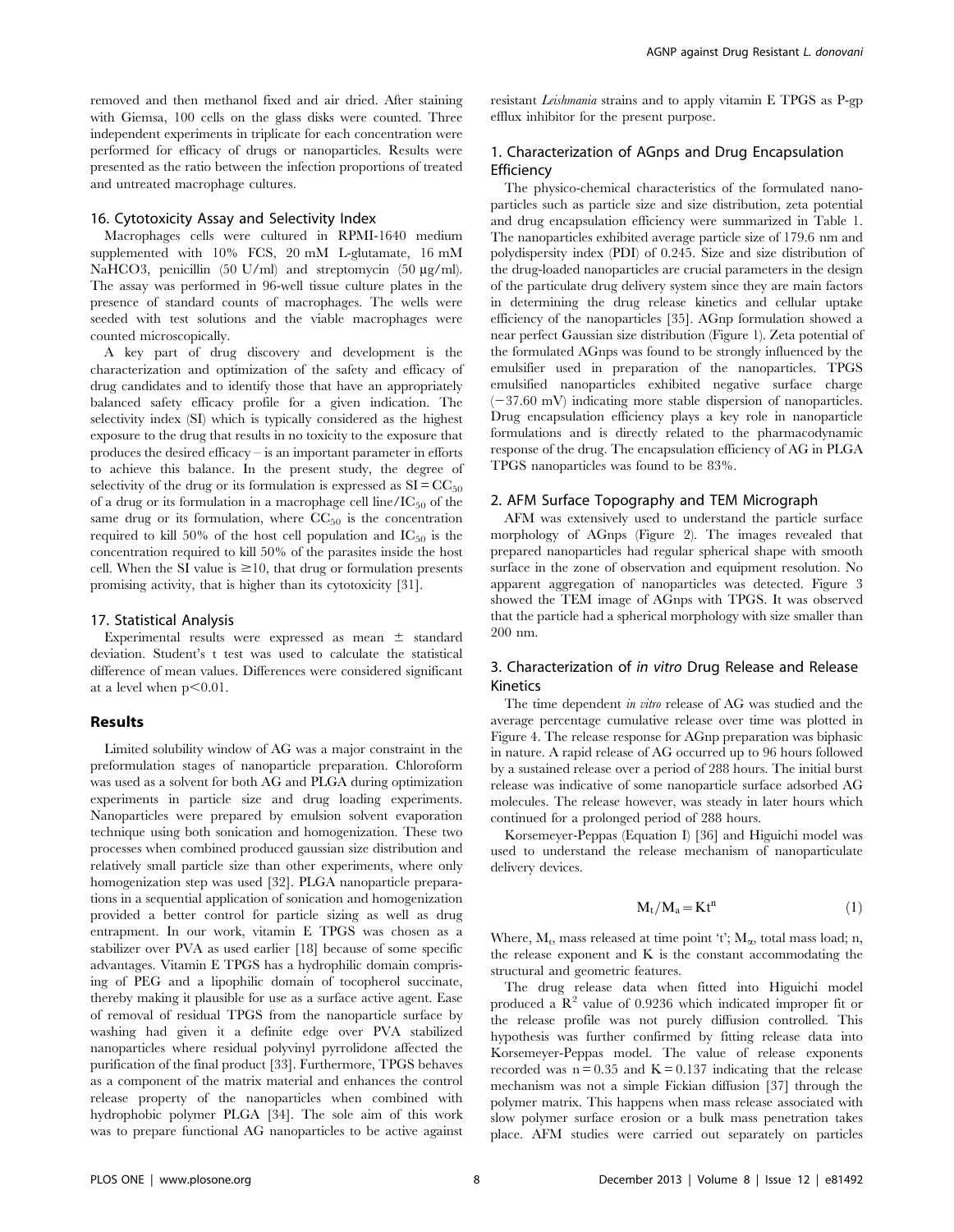removed and then methanol fixed and air dried. After staining with Giemsa, 100 cells on the glass disks were counted. Three independent experiments in triplicate for each concentration were performed for efficacy of drugs or nanoparticles. Results were presented as the ratio between the infection proportions of treated and untreated macrophage cultures.

# 16. Cytotoxicity Assay and Selectivity Index

Macrophages cells were cultured in RPMI-1640 medium supplemented with 10% FCS, 20 mM L-glutamate, 16 mM NaHCO3, penicillin  $(50 \text{ U/ml})$  and streptomycin  $(50 \text{ µg/ml})$ . The assay was performed in 96-well tissue culture plates in the presence of standard counts of macrophages. The wells were seeded with test solutions and the viable macrophages were counted microscopically.

A key part of drug discovery and development is the characterization and optimization of the safety and efficacy of drug candidates and to identify those that have an appropriately balanced safety efficacy profile for a given indication. The selectivity index (SI) which is typically considered as the highest exposure to the drug that results in no toxicity to the exposure that produces the desired efficacy – is an important parameter in efforts to achieve this balance. In the present study, the degree of selectivity of the drug or its formulation is expressed as  $SI = CC_{50}$ of a drug or its formulation in a macrophage cell line/ $IC_{50}$  of the same drug or its formulation, where  $CC_{50}$  is the concentration required to kill 50% of the host cell population and  $IC_{50}$  is the concentration required to kill 50% of the parasites inside the host cell. When the SI value is  $\geq 10$ , that drug or formulation presents promising activity, that is higher than its cytotoxicity [31].

# 17. Statistical Analysis

Experimental results were expressed as mean  $\pm$  standard deviation. Student's t test was used to calculate the statistical difference of mean values. Differences were considered significant at a level when  $p<0.01$ .

#### Results

Limited solubility window of AG was a major constraint in the preformulation stages of nanoparticle preparation. Chloroform was used as a solvent for both AG and PLGA during optimization experiments in particle size and drug loading experiments. Nanoparticles were prepared by emulsion solvent evaporation technique using both sonication and homogenization. These two processes when combined produced gaussian size distribution and relatively small particle size than other experiments, where only homogenization step was used [32]. PLGA nanoparticle preparations in a sequential application of sonication and homogenization provided a better control for particle sizing as well as drug entrapment. In our work, vitamin E TPGS was chosen as a stabilizer over PVA as used earlier [18] because of some specific advantages. Vitamin E TPGS has a hydrophilic domain comprising of PEG and a lipophilic domain of tocopherol succinate, thereby making it plausible for use as a surface active agent. Ease of removal of residual TPGS from the nanoparticle surface by washing had given it a definite edge over PVA stabilized nanoparticles where residual polyvinyl pyrrolidone affected the purification of the final product [33]. Furthermore, TPGS behaves as a component of the matrix material and enhances the control release property of the nanoparticles when combined with hydrophobic polymer PLGA [34]. The sole aim of this work was to prepare functional AG nanoparticles to be active against resistant Leishmania strains and to apply vitamin E TPGS as P-gp efflux inhibitor for the present purpose.

# 1. Characterization of AGnps and Drug Encapsulation Efficiency

The physico-chemical characteristics of the formulated nanoparticles such as particle size and size distribution, zeta potential and drug encapsulation efficiency were summarized in Table 1. The nanoparticles exhibited average particle size of 179.6 nm and polydispersity index (PDI) of 0.245. Size and size distribution of the drug-loaded nanoparticles are crucial parameters in the design of the particulate drug delivery system since they are main factors in determining the drug release kinetics and cellular uptake efficiency of the nanoparticles [35]. AGnp formulation showed a near perfect Gaussian size distribution (Figure 1). Zeta potential of the formulated AGnps was found to be strongly influenced by the emulsifier used in preparation of the nanoparticles. TPGS emulsified nanoparticles exhibited negative surface charge  $(-37.60 \text{ mV})$  indicating more stable dispersion of nanoparticles. Drug encapsulation efficiency plays a key role in nanoparticle formulations and is directly related to the pharmacodynamic response of the drug. The encapsulation efficiency of AG in PLGA TPGS nanoparticles was found to be 83%.

# 2. AFM Surface Topography and TEM Micrograph

AFM was extensively used to understand the particle surface morphology of AGnps (Figure 2). The images revealed that prepared nanoparticles had regular spherical shape with smooth surface in the zone of observation and equipment resolution. No apparent aggregation of nanoparticles was detected. Figure 3 showed the TEM image of AGnps with TPGS. It was observed that the particle had a spherical morphology with size smaller than 200 nm.

# 3. Characterization of in vitro Drug Release and Release Kinetics

The time dependent in vitro release of AG was studied and the average percentage cumulative release over time was plotted in Figure 4. The release response for AGnp preparation was biphasic in nature. A rapid release of AG occurred up to 96 hours followed by a sustained release over a period of 288 hours. The initial burst release was indicative of some nanoparticle surface adsorbed AG molecules. The release however, was steady in later hours which continued for a prolonged period of 288 hours.

Korsemeyer-Peppas (Equation I) [36] and Higuichi model was used to understand the release mechanism of nanoparticulate delivery devices.

$$
M_t/M_a = Kt^n \tag{1}
$$

Where,  $M_t$ , mass released at time point 't';  $M_\alpha$ , total mass load; n, the release exponent and  $K$  is the constant accommodating the structural and geometric features.

The drug release data when fitted into Higuichi model produced a  $\mathbb{R}^2$  value of 0.9236 which indicated improper fit or the release profile was not purely diffusion controlled. This hypothesis was further confirmed by fitting release data into Korsemeyer-Peppas model. The value of release exponents recorded was  $n = 0.35$  and  $K = 0.137$  indicating that the release mechanism was not a simple Fickian diffusion [37] through the polymer matrix. This happens when mass release associated with slow polymer surface erosion or a bulk mass penetration takes place. AFM studies were carried out separately on particles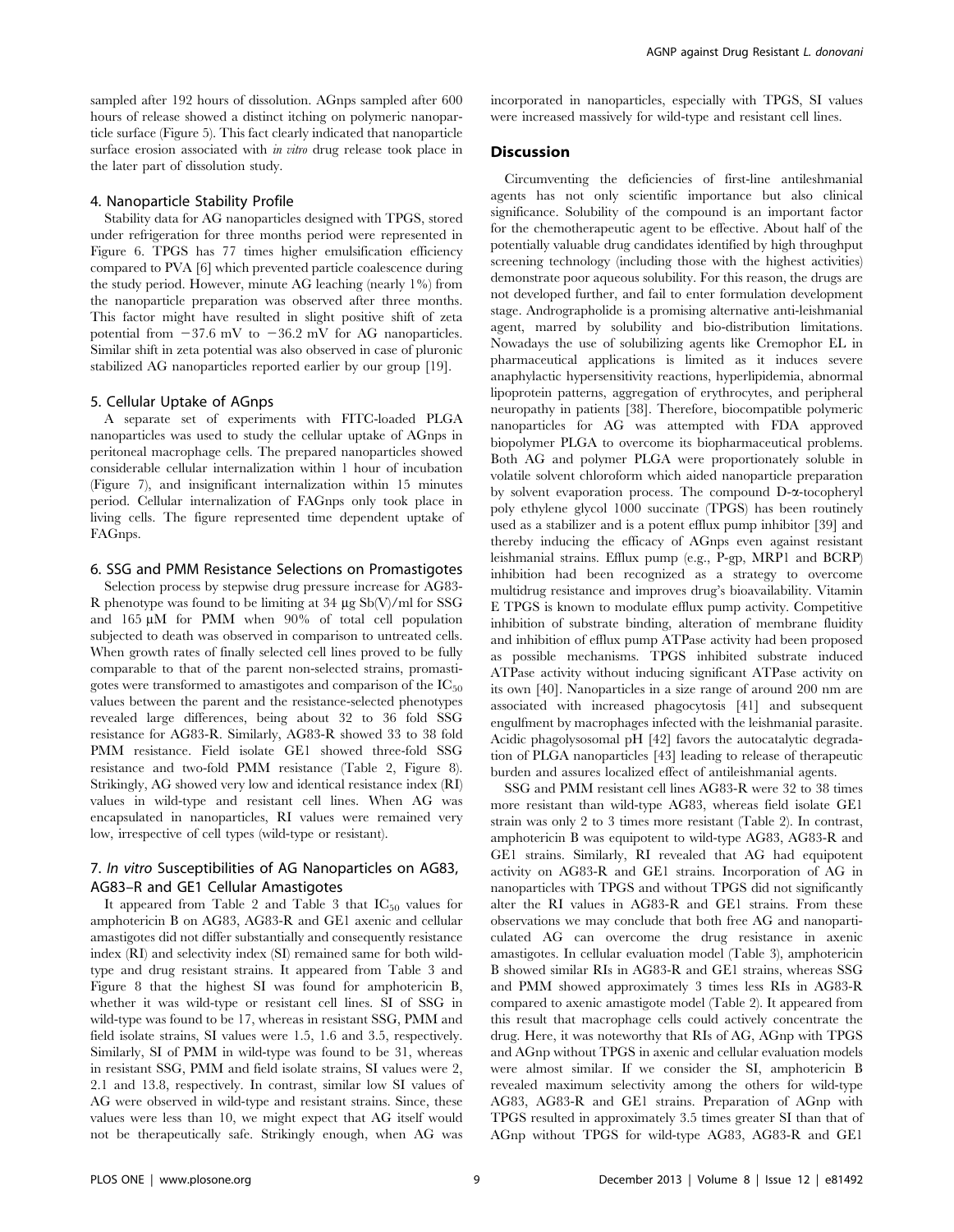sampled after 192 hours of dissolution. AGnps sampled after 600 hours of release showed a distinct itching on polymeric nanoparticle surface (Figure 5). This fact clearly indicated that nanoparticle surface erosion associated with *in vitro* drug release took place in the later part of dissolution study.

# 4. Nanoparticle Stability Profile

Stability data for AG nanoparticles designed with TPGS, stored under refrigeration for three months period were represented in Figure 6. TPGS has 77 times higher emulsification efficiency compared to PVA [6] which prevented particle coalescence during the study period. However, minute AG leaching (nearly 1%) from the nanoparticle preparation was observed after three months. This factor might have resulted in slight positive shift of zeta potential from  $-37.6$  mV to  $-36.2$  mV for AG nanoparticles. Similar shift in zeta potential was also observed in case of pluronic stabilized AG nanoparticles reported earlier by our group [19].

#### 5. Cellular Uptake of AGnps

A separate set of experiments with FITC-loaded PLGA nanoparticles was used to study the cellular uptake of AGnps in peritoneal macrophage cells. The prepared nanoparticles showed considerable cellular internalization within 1 hour of incubation (Figure 7), and insignificant internalization within 15 minutes period. Cellular internalization of FAGnps only took place in living cells. The figure represented time dependent uptake of FAGnps.

#### 6. SSG and PMM Resistance Selections on Promastigotes

Selection process by stepwise drug pressure increase for AG83- R phenotype was found to be limiting at  $34 \mu g \text{Sb}(V)/m$  for SSG and  $165 \mu M$  for PMM when  $90\%$  of total cell population subjected to death was observed in comparison to untreated cells. When growth rates of finally selected cell lines proved to be fully comparable to that of the parent non-selected strains, promastigotes were transformed to amastigotes and comparison of the  $IC_{50}$ values between the parent and the resistance-selected phenotypes revealed large differences, being about 32 to 36 fold SSG resistance for AG83-R. Similarly, AG83-R showed 33 to 38 fold PMM resistance. Field isolate GE1 showed three-fold SSG resistance and two-fold PMM resistance (Table 2, Figure 8). Strikingly, AG showed very low and identical resistance index (RI) values in wild-type and resistant cell lines. When AG was encapsulated in nanoparticles, RI values were remained very low, irrespective of cell types (wild-type or resistant).

# 7. In vitro Susceptibilities of AG Nanoparticles on AG83, AG83–R and GE1 Cellular Amastigotes

It appeared from Table 2 and Table 3 that  $IC_{50}$  values for amphotericin B on AG83, AG83-R and GE1 axenic and cellular amastigotes did not differ substantially and consequently resistance index (RI) and selectivity index (SI) remained same for both wildtype and drug resistant strains. It appeared from Table 3 and Figure 8 that the highest SI was found for amphotericin B, whether it was wild-type or resistant cell lines. SI of SSG in wild-type was found to be 17, whereas in resistant SSG, PMM and field isolate strains, SI values were 1.5, 1.6 and 3.5, respectively. Similarly, SI of PMM in wild-type was found to be 31, whereas in resistant SSG, PMM and field isolate strains, SI values were 2, 2.1 and 13.8, respectively. In contrast, similar low SI values of AG were observed in wild-type and resistant strains. Since, these values were less than 10, we might expect that AG itself would not be therapeutically safe. Strikingly enough, when AG was incorporated in nanoparticles, especially with TPGS, SI values were increased massively for wild-type and resistant cell lines.

# **Discussion**

Circumventing the deficiencies of first-line antileshmanial agents has not only scientific importance but also clinical significance. Solubility of the compound is an important factor for the chemotherapeutic agent to be effective. About half of the potentially valuable drug candidates identified by high throughput screening technology (including those with the highest activities) demonstrate poor aqueous solubility. For this reason, the drugs are not developed further, and fail to enter formulation development stage. Andrographolide is a promising alternative anti-leishmanial agent, marred by solubility and bio-distribution limitations. Nowadays the use of solubilizing agents like Cremophor EL in pharmaceutical applications is limited as it induces severe anaphylactic hypersensitivity reactions, hyperlipidemia, abnormal lipoprotein patterns, aggregation of erythrocytes, and peripheral neuropathy in patients [38]. Therefore, biocompatible polymeric nanoparticles for AG was attempted with FDA approved biopolymer PLGA to overcome its biopharmaceutical problems. Both AG and polymer PLGA were proportionately soluble in volatile solvent chloroform which aided nanoparticle preparation by solvent evaporation process. The compound D-a-tocopheryl poly ethylene glycol 1000 succinate (TPGS) has been routinely used as a stabilizer and is a potent efflux pump inhibitor [39] and thereby inducing the efficacy of AGnps even against resistant leishmanial strains. Efflux pump (e.g., P-gp, MRP1 and BCRP) inhibition had been recognized as a strategy to overcome multidrug resistance and improves drug's bioavailability. Vitamin E TPGS is known to modulate efflux pump activity. Competitive inhibition of substrate binding, alteration of membrane fluidity and inhibition of efflux pump ATPase activity had been proposed as possible mechanisms. TPGS inhibited substrate induced ATPase activity without inducing significant ATPase activity on its own [40]. Nanoparticles in a size range of around 200 nm are associated with increased phagocytosis [41] and subsequent engulfment by macrophages infected with the leishmanial parasite. Acidic phagolysosomal pH [42] favors the autocatalytic degradation of PLGA nanoparticles [43] leading to release of therapeutic burden and assures localized effect of antileishmanial agents.

SSG and PMM resistant cell lines AG83-R were 32 to 38 times more resistant than wild-type AG83, whereas field isolate GE1 strain was only 2 to 3 times more resistant (Table 2). In contrast, amphotericin B was equipotent to wild-type AG83, AG83-R and GE1 strains. Similarly, RI revealed that AG had equipotent activity on AG83-R and GE1 strains. Incorporation of AG in nanoparticles with TPGS and without TPGS did not significantly alter the RI values in AG83-R and GE1 strains. From these observations we may conclude that both free AG and nanoparticulated AG can overcome the drug resistance in axenic amastigotes. In cellular evaluation model (Table 3), amphotericin B showed similar RIs in AG83-R and GE1 strains, whereas SSG and PMM showed approximately 3 times less RIs in AG83-R compared to axenic amastigote model (Table 2). It appeared from this result that macrophage cells could actively concentrate the drug. Here, it was noteworthy that RIs of AG, AGnp with TPGS and AGnp without TPGS in axenic and cellular evaluation models were almost similar. If we consider the SI, amphotericin B revealed maximum selectivity among the others for wild-type AG83, AG83-R and GE1 strains. Preparation of AGnp with TPGS resulted in approximately 3.5 times greater SI than that of AGnp without TPGS for wild-type AG83, AG83-R and GE1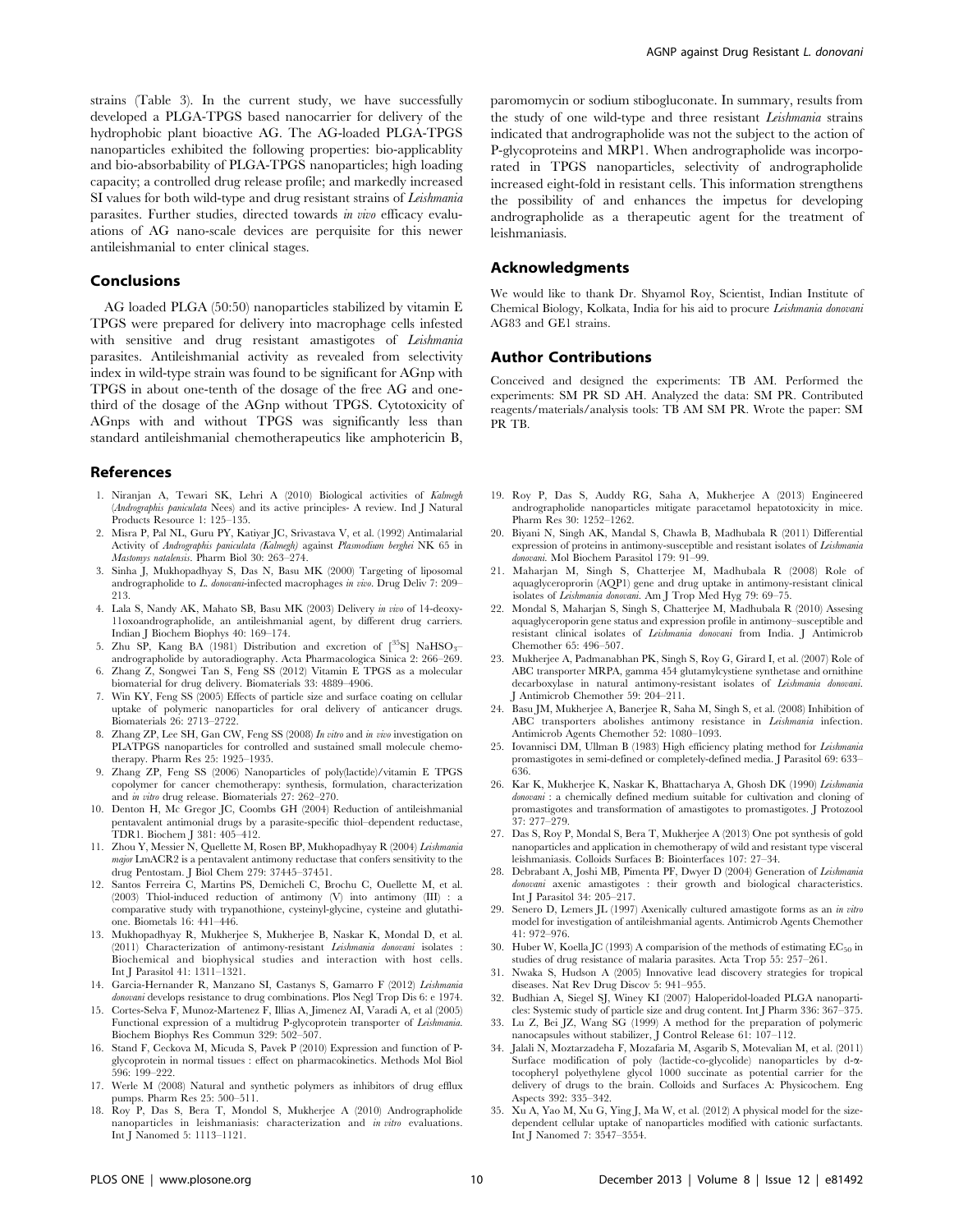strains (Table 3). In the current study, we have successfully developed a PLGA-TPGS based nanocarrier for delivery of the hydrophobic plant bioactive AG. The AG-loaded PLGA-TPGS nanoparticles exhibited the following properties: bio-applicablity and bio-absorbability of PLGA-TPGS nanoparticles; high loading capacity; a controlled drug release profile; and markedly increased SI values for both wild-type and drug resistant strains of Leishmania parasites. Further studies, directed towards in vivo efficacy evaluations of AG nano-scale devices are perquisite for this newer antileishmanial to enter clinical stages.

# Conclusions

AG loaded PLGA (50:50) nanoparticles stabilized by vitamin E TPGS were prepared for delivery into macrophage cells infested with sensitive and drug resistant amastigotes of Leishmania parasites. Antileishmanial activity as revealed from selectivity index in wild-type strain was found to be significant for AGnp with TPGS in about one-tenth of the dosage of the free AG and onethird of the dosage of the AGnp without TPGS. Cytotoxicity of AGnps with and without TPGS was significantly less than standard antileishmanial chemotherapeutics like amphotericin B,

#### References

- 1. Niranjan A, Tewari SK, Lehri A (2010) Biological activities of Kalmegh (Andrographis paniculata Nees) and its active principles- A review. Ind J Natural Products Resource 1: 125–135.
- 2. Misra P, Pal NL, Guru PY, Katiyar JC, Srivastava V, et al. (1992) Antimalarial Activity of Andrographis paniculata (Kalmegh) against Plasmodium berghei NK 65 in Mastomys natalensis. Pharm Biol 30: 263–274.
- 3. Sinha J, Mukhopadhyay S, Das N, Basu MK (2000) Targeting of liposomal andrographolide to L. donovani-infected macrophages in vivo. Drug Deliv 7: 209– 213.
- 4. Lala S, Nandy AK, Mahato SB, Basu MK (2003) Delivery in vivo of 14-deoxy-11oxoandrographolide, an antileishmanial agent, by different drug carriers. Indian J Biochem Biophys 40: 169–174.
- 5. Zhu SP, Kang BA (1981) Distribution and excretion of  $\int^{35}S$ ] NaHSO<sub>3</sub>andrographolide by autoradiography. Acta Pharmacologica Sinica 2: 266–269.
- 6. Zhang Z, Songwei Tan S, Feng SS (2012) Vitamin E TPGS as a molecular biomaterial for drug delivery. Biomaterials 33: 4889–4906.
- 7. Win KY, Feng SS (2005) Effects of particle size and surface coating on cellular uptake of polymeric nanoparticles for oral delivery of anticancer drugs. Biomaterials 26: 2713–2722.
- 8. Zhang ZP, Lee SH, Gan CW, Feng SS (2008) In vitro and in vivo investigation on PLATPGS nanoparticles for controlled and sustained small molecule chemotherapy. Pharm Res 25: 1925–1935.
- 9. Zhang ZP, Feng SS (2006) Nanoparticles of poly(lactide)/vitamin E TPGS copolymer for cancer chemotherapy: synthesis, formulation, characterization and in vitro drug release. Biomaterials 27: 262–270.
- 10. Denton H, Mc Gregor JC, Coombs GH (2004) Reduction of antileishmanial pentavalent antimonial drugs by a parasite-specific thiol–dependent reductase, TDR1. Biochem J 381: 405–412.
- 11. Zhou Y, Messier N, Quellette M, Rosen BP, Mukhopadhyay R (2004) Leishmania *major* LmACR2 is a pentavalent antimony reductase that confers sensitivity to the drug Pentostam. J Biol Chem 279: 37445–37451.
- 12. Santos Ferreira C, Martins PS, Demicheli C, Brochu C, Ouellette M, et al. (2003) Thiol-induced reduction of antimony (V) into antimony (III) : a comparative study with trypanothione, cysteinyl-glycine, cysteine and glutathione. Biometals 16: 441–446.
- 13. Mukhopadhyay R, Mukherjee S, Mukherjee B, Naskar K, Mondal D, et al. (2011) Characterization of antimony-resistant Leishmania donovani isolates : Biochemical and biophysical studies and interaction with host cells. Int J Parasitol 41: 1311–1321.
- 14. Garcia-Hernander R, Manzano SI, Castanys S, Gamarro F (2012) Leishmania donovani develops resistance to drug combinations. Plos Negl Trop Dis 6: e 1974.
- 15. Cortes-Selva F, Munoz-Martenez F, Illias A, Jimenez AI, Varadi A, et al (2005) Functional expression of a multidrug P-glycoprotein transporter of Leishmania. Biochem Biophys Res Commun 329: 502–507.
- 16. Stand F, Ceckova M, Micuda S, Pavek P (2010) Expression and function of Pglycoprotein in normal tissues : effect on pharmacokinetics. Methods Mol Biol 596: 199–222.
- 17. Werle M (2008) Natural and synthetic polymers as inhibitors of drug efflux pumps. Pharm Res 25: 500–511.
- 18. Roy P, Das S, Bera T, Mondol S, Mukherjee A (2010) Andrographolide nanoparticles in leishmaniasis: characterization and in vitro evaluations.

paromomycin or sodium stibogluconate. In summary, results from the study of one wild-type and three resistant Leishmania strains indicated that andrographolide was not the subject to the action of P-glycoproteins and MRP1. When andrographolide was incorporated in TPGS nanoparticles, selectivity of andrographolide increased eight-fold in resistant cells. This information strengthens the possibility of and enhances the impetus for developing andrographolide as a therapeutic agent for the treatment of leishmaniasis.

#### Acknowledgments

We would like to thank Dr. Shyamol Roy, Scientist, Indian Institute of Chemical Biology, Kolkata, India for his aid to procure Leishmania donovani AG83 and GE1 strains.

# Author Contributions

Conceived and designed the experiments: TB AM. Performed the experiments: SM PR SD AH. Analyzed the data: SM PR. Contributed reagents/materials/analysis tools: TB AM SM PR. Wrote the paper: SM PR TB.

- 19. Roy P, Das S, Auddy RG, Saha A, Mukherjee A (2013) Engineered andrographolide nanoparticles mitigate paracetamol hepatotoxicity in mice. Pharm Res 30: 1252–1262.
- 20. Biyani N, Singh AK, Mandal S, Chawla B, Madhubala R (2011) Differential expression of proteins in antimony-susceptible and resistant isolates of Leishmania donovani. Mol Biochem Parasitol 179: 91–99.
- 21. Maharjan M, Singh S, Chatterjee M, Madhubala R (2008) Role of aquaglyceroprorin (AQP1) gene and drug uptake in antimony-resistant clinical<br>isolates of Leishmania donovani. Am J Trop Med Hyg 79: 69–75.
- 22. Mondal S, Maharjan S, Singh S, Chatterjee M, Madhubala R (2010) Assesing aquaglyceroporin gene status and expression profile in antimony–susceptible and resistant clinical isolates of Leishmania donovani from India. J Antimicrob Chemother 65: 496–507.
- 23. Mukherjee A, Padmanabhan PK, Singh S, Roy G, Girard I, et al. (2007) Role of ABC transporter MRPA, gamma 454 glutamylcystiene synthetase and ornithine decarboxylase in natural antimony-resistant isolates of Leishmania donovani. J Antimicrob Chemother 59: 204–211.
- 24. Basu JM, Mukherjee A, Banerjee R, Saha M, Singh S, et al. (2008) Inhibition of ABC transporters abolishes antimony resistance in Leishmania infection. Antimicrob Agents Chemother 52: 1080–1093.
- 25. Iovannisci DM, Ullman B (1983) High efficiency plating method for Leishmania promastigotes in semi-defined or completely-defined media. J Parasitol 69: 633– 636.
- 26. Kar K, Mukherjee K, Naskar K, Bhattacharya A, Ghosh DK (1990) Leishmania donovani : a chemically defined medium suitable for cultivation and cloning of promastigotes and transformation of amastigotes to promastigotes. J Protozool <u>.</u><br>37: 277–279.
- 27. Das S, Roy P, Mondal S, Bera T, Mukherjee A (2013) One pot synthesis of gold nanoparticles and application in chemotherapy of wild and resistant type visceral leishmaniasis. Colloids Surfaces B: Biointerfaces 107: 27–34.
- 28. Debrabant A, Joshi MB, Pimenta PF, Dwyer D (2004) Generation of Leishmania donovani axenic amastigotes : their growth and biological characteristics. Int J Parasitol 34: 205–217.
- 29. Senero D, Lemers JL (1997) Axenically cultured amastigote forms as an in vitro model for investigation of antileishmanial agents. Antimicrob Agents Chemother 41: 972–976.
- 30. Huber W, Koella JC (1993) A comparision of the methods of estimating  $EC_{50}$  in studies of drug resistance of malaria parasites. Acta Trop 55: 257–261.
- 31. Nwaka S, Hudson A (2005) Innovative lead discovery strategies for tropical diseases. Nat Rev Drug Discov 5: 941–955.
- 32. Budhian A, Siegel SJ, Winey KI (2007) Haloperidol-loaded PLGA nanoparticles: Systemic study of particle size and drug content. Int J Pharm 336: 367–375.
- 33. Lu Z, Bei JZ, Wang SG (1999) A method for the preparation of polymeric nanocapsules without stabilizer, J Control Release 61: 107–112.
- 34. Jalali N, Moztarzadeha F, Mozafaria M, Asgarib S, Motevalian M, et al. (2011) Surface modification of poly (lactide-co-glycolide) nanoparticles by d-a-tocopheryl polyethylene glycol 1000 succinate as potential carrier for the delivery of drugs to the brain. Colloids and Surfaces A: Physicochem. Eng Aspects 392: 335–342.
- 35. Xu A, Yao M, Xu G, Ying J, Ma W, et al. (2012) A physical model for the sizedependent cellular uptake of nanoparticles modified with cationic surfactants. Int J Nanomed 7: 3547–3554.

Int J Nanomed 5: 1113–1121.